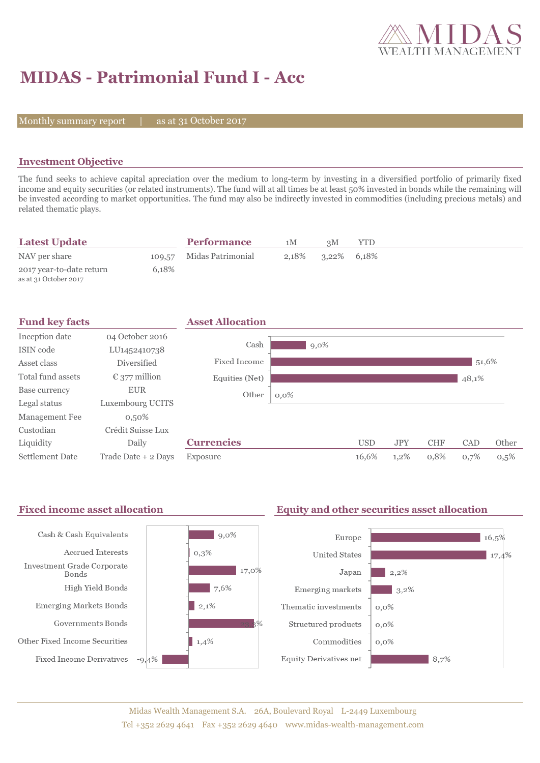

# **MIDAS - Patrimonial Fund I - Acc**

Monthly summary report  $|$ 

as at 31 October 2017

### **Investment Objective**

The fund seeks to achieve capital apreciation over the medium to long-term by investing in a diversified portfolio of primarily fixed income and equity securities (or related instruments). The fund will at all times be at least 50% invested in bonds while the remaining will be invested according to market opportunities. The fund may also be indirectly invested in commodities (including precious metals) and related thematic plays.

| <b>Latest Update</b>                              |       | <b>Performance</b>       | 1М    | зM             | YTD |  |  |
|---------------------------------------------------|-------|--------------------------|-------|----------------|-----|--|--|
| NAV per share                                     |       | 109,57 Midas Patrimonial | 2.18% | $3,22\%$ 6,18% |     |  |  |
| 2017 year-to-date return<br>as at 31 October 2017 | 6.18% |                          |       |                |     |  |  |

| <b>Fund key facts</b>  |                        | <b>Asset Allocation</b> |         |            |            |            |       |       |
|------------------------|------------------------|-------------------------|---------|------------|------------|------------|-------|-------|
| Inception date         | 04 October 2016        |                         |         |            |            |            |       |       |
| ISIN code              | LU1452410738           | Cash                    | $9,0\%$ |            |            |            |       |       |
| Asset class            | Diversified            | Fixed Income            |         |            |            |            | 51,6% |       |
| Total fund assets      | $\epsilon$ 377 million | Equities (Net)          |         |            |            |            | 48,1% |       |
| Base currency          | <b>EUR</b>             | Other<br>$0,0\%$        |         |            |            |            |       |       |
| Legal status           | Luxembourg UCITS       |                         |         |            |            |            |       |       |
| Management Fee         | $0,50\%$               |                         |         |            |            |            |       |       |
| Custodian              | Crédit Suisse Lux      |                         |         |            |            |            |       |       |
| Liquidity              | Daily                  | <b>Currencies</b>       |         | <b>USD</b> | <b>JPY</b> | <b>CHF</b> | CAD   | Other |
| <b>Settlement Date</b> | Trade Date + 2 Days    | Exposure                |         | 16,6%      | 1,2%       | 0,8%       | 0,7%  | 0,5%  |

#### Fixed income asset allocation **Equity and other securities asset allocation** Cash & Cash Equivalents  $|9,0\%$ Europe 16,5% Accrued Interests  $0,3%$ **United States**  $17,4%$ Investment Grade Corporate  $17,0\%$ Japan  $\vert$  2,2% Bonds High Yield Bonds  $7,6%$ Emerging markets  $3,2\%$  $\vert 2,1\%$ Emerging Markets Bonds Thematic investments  $0,0\%$ Governments Bonds Structured products  $0,0\%$ Other Fixed Income Securities  $1,4%$ Commodities  $0,0\%$ **Fixed Income Derivatives**  $-9,4%$ **Equity Derivatives net**  $8,7%$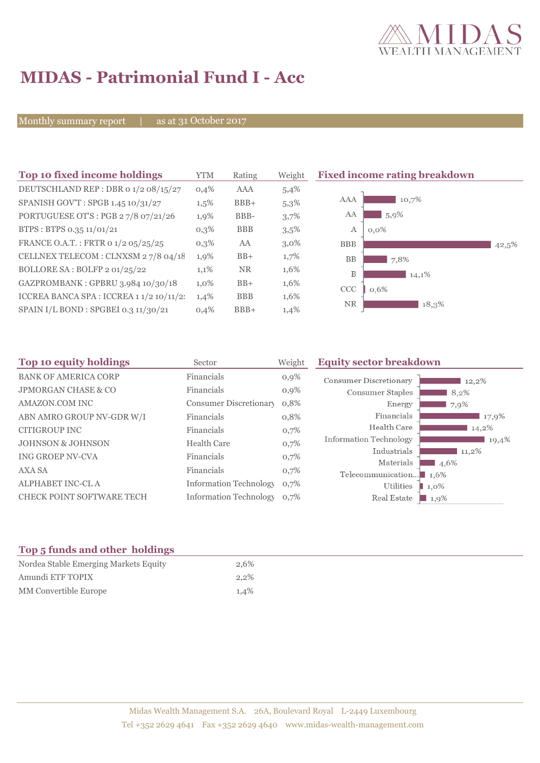

# **MIDAS - Patrimonial Fund I - Acc**

Monthly summary report | as at 31 October 2017

| Top 10 fixed income holdings             | <b>YTM</b> | Rating     | Weight  | <b>Fixed income rating breakdown</b> |       |
|------------------------------------------|------------|------------|---------|--------------------------------------|-------|
| DEUTSCHLAND REP : DBR 0 1/2 08/15/27     | 0,4%       | <b>AAA</b> | 5,4%    |                                      |       |
| SPANISH GOV'T: SPGB 1.45 10/31/27        | $1,5\%$    | $BBB+$     | 5,3%    | 10,7%<br>AAA                         |       |
| PORTUGUESE OT'S : PGB 27/8 07/21/26      | 1,9%       | BBB-       | 3,7%    | AA<br>5,9%                           |       |
| BTPS: BTPS 0.35 11/01/21                 | $0,3\%$    | <b>BBB</b> | $3,5\%$ | $0.0\%$<br>А                         |       |
| FRANCE O.A.T.: FRTR 0 1/2 05/25/25       | $0,3\%$    | AA         | $3,0\%$ | <b>BBB</b>                           | 42,5% |
| CELLNEX TELECOM : CLNXSM 27/8 04/18      | 1,9%       | $BB+$      | 1,7%    | <b>BB</b><br>7,8%                    |       |
| BOLLORE SA: BOLFP 2 01/25/22             | 1,1%       | <b>NR</b>  | 1,6%    | B<br>14,1%                           |       |
| GAZPROMBANK: GPBRU 3.984 10/30/18        | $1,0\%$    | $BB+$      | 1,6%    | CCC<br>0,6%                          |       |
| ICCREA BANCA SPA : ICCREA 1 1/2 10/11/2: | 1,4%       | <b>BBB</b> | 1,6%    |                                      |       |
| SPAIN I/L BOND : SPGBEI 0.3 11/30/21     | 0,4%       | $BBB+$     | 1,4%    | <b>NR</b><br>18,3%                   |       |

| Top 10 equity holdings           | Sector                        | Weight  | <b>Equity sector breakdown</b>        |                 |
|----------------------------------|-------------------------------|---------|---------------------------------------|-----------------|
| <b>BANK OF AMERICA CORP</b>      | Financials                    | $0,9\%$ | <b>Consumer Discretionary</b>         | 12,2%           |
| <b>JPMORGAN CHASE &amp; CO</b>   | Financials                    | 0,9%    | Consumer Staples                      | 8,2%            |
| AMAZON.COM INC                   | <b>Consumer Discretionary</b> | 0,8%    | Energy                                | 7,9%            |
| ABN AMRO GROUP NV-GDR W/I        | Financials                    | 0,8%    | Financials                            | 17,9%           |
| <b>CITIGROUP INC</b>             | Financials                    | 0,7%    | Health Care                           | 14,2%           |
| <b>JOHNSON &amp; JOHNSON</b>     | <b>Health Care</b>            | 0,7%    | <b>Information Technology</b>         | 19,4%           |
| <b>ING GROEP NV-CVA</b>          | Financials                    | 0,7%    | Industrials                           | $11,2\%$        |
| <b>AXA SA</b>                    | Financials                    | 0,7%    | Materials                             | 4,6%            |
| <b>ALPHABET INC-CLA</b>          | <b>Information Technology</b> | 0,7%    | Telecommunication $\blacksquare$ 1.6% |                 |
| <b>CHECK POINT SOFTWARE TECH</b> | Information Technology 0.7%   |         | Utilities<br>Real Estate              | 1,0%<br>$1.9\%$ |

## **Top 5 funds and other holdings**

| Nordea Stable Emerging Markets Equity | 2,6%    |
|---------------------------------------|---------|
| Amundi ETF TOPIX                      | 2.2%    |
| MM Convertible Europe                 | $1.4\%$ |